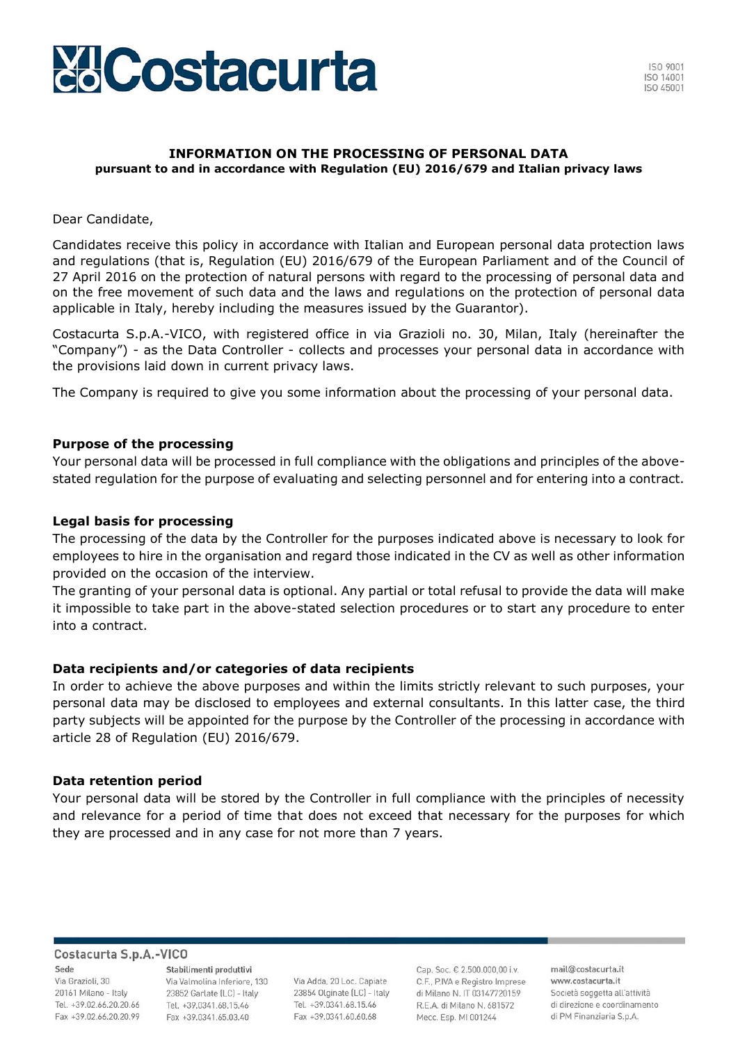

# **INFORMATION ON THE PROCESSING OF PERSONAL DATA pursuant to and in accordance with Regulation (EU) 2016/679 and Italian privacy laws**

# Dear Candidate,

Candidates receive this policy in accordance with Italian and European personal data protection laws and regulations (that is, Regulation (EU) 2016/679 of the European Parliament and of the Council of 27 April 2016 on the protection of natural persons with regard to the processing of personal data and on the free movement of such data and the laws and regulations on the protection of personal data applicable in Italy, hereby including the measures issued by the Guarantor).

Costacurta S.p.A.-VICO, with registered office in via Grazioli no. 30, Milan, Italy (hereinafter the "Company") - as the Data Controller - collects and processes your personal data in accordance with the provisions laid down in current privacy laws.

The Company is required to give you some information about the processing of your personal data.

## **Purpose of the processing**

Your personal data will be processed in full compliance with the obligations and principles of the abovestated regulation for the purpose of evaluating and selecting personnel and for entering into a contract.

# **Legal basis for processing**

The processing of the data by the Controller for the purposes indicated above is necessary to look for employees to hire in the organisation and regard those indicated in the CV as well as other information provided on the occasion of the interview.

The granting of your personal data is optional. Any partial or total refusal to provide the data will make it impossible to take part in the above-stated selection procedures or to start any procedure to enter into a contract.

## **Data recipients and/or categories of data recipients**

In order to achieve the above purposes and within the limits strictly relevant to such purposes, your personal data may be disclosed to employees and external consultants. In this latter case, the third party subjects will be appointed for the purpose by the Controller of the processing in accordance with article 28 of Regulation (EU) 2016/679.

## **Data retention period**

Your personal data will be stored by the Controller in full compliance with the principles of necessity and relevance for a period of time that does not exceed that necessary for the purposes for which they are processed and in any case for not more than 7 years.

### Costacurta S.p.A.-VICO

Sede Via Grazioli, 30 20161 Milano - Italy Tel. +39.02.66.20.20.66 Fax +39.02.66.20.20.99

Stabilimenti produttivi Via Valmolina Inferiore, 130 23852 Garlate (LC) - Italy Tel. +39.0341.68.15.46 Fax +39.0341.65.03.40

Via Adda, 20 Loc. Capiate 23854 Olginate (LC) - Italy Tel. +39.0341.68.15.46 Fax +39,0341,60,60,68

Cap. Soc. € 2.500.000,00 i.v. C.F., P.IVA e Registro Imprese di Milano N. IT 03147720159 R.E.A. di Milano N. 681572 Mecc. Esp. MI 001244

mail@costacurta.it www.costacurta.it Società soggetta all'attività di direzione e coordinamento di PM Finanziaria S.p.A.